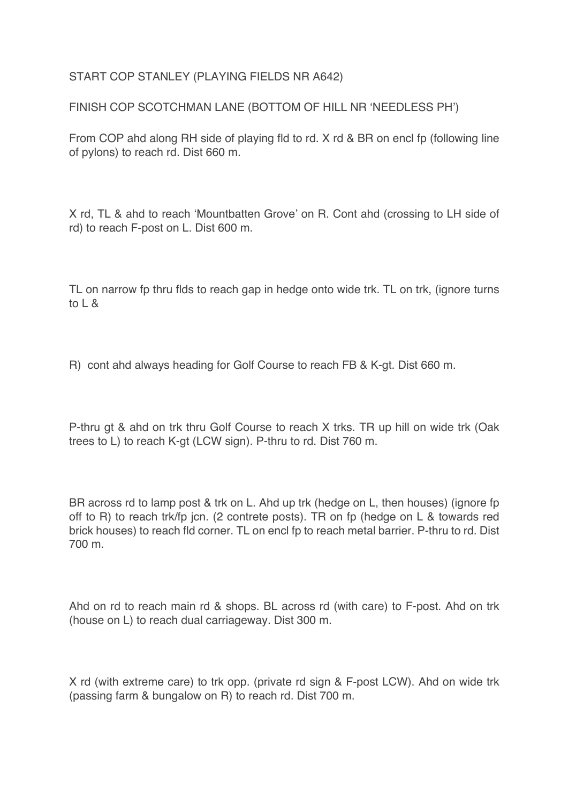START COP STANLEY (PLAYING FIELDS NR A642)

FINISH COP SCOTCHMAN LANE (BOTTOM OF HILL NR 'NEEDLESS PH')

From COP ahd along RH side of playing fld to rd. X rd & BR on encl fp (following line of pylons) to reach rd. Dist 660 m.

X rd, TL & ahd to reach 'Mountbatten Grove' on R. Cont ahd (crossing to LH side of rd) to reach F-post on L. Dist 600 m.

TL on narrow fp thru flds to reach gap in hedge onto wide trk. TL on trk, (ignore turns to  $l$   $\alpha$ 

R) cont ahd always heading for Golf Course to reach FB & K-gt. Dist 660 m.

P-thru gt & ahd on trk thru Golf Course to reach X trks. TR up hill on wide trk (Oak trees to L) to reach K-gt (LCW sign). P-thru to rd. Dist 760 m.

BR across rd to lamp post & trk on L. Ahd up trk (hedge on L, then houses) (ignore fp off to R) to reach trk/fp jcn. (2 contrete posts). TR on fp (hedge on L & towards red brick houses) to reach fld corner. TL on encl fp to reach metal barrier. P-thru to rd. Dist 700 m.

Ahd on rd to reach main rd & shops. BL across rd (with care) to F-post. Ahd on trk (house on L) to reach dual carriageway. Dist 300 m.

X rd (with extreme care) to trk opp. (private rd sign & F-post LCW). Ahd on wide trk (passing farm & bungalow on R) to reach rd. Dist 700 m.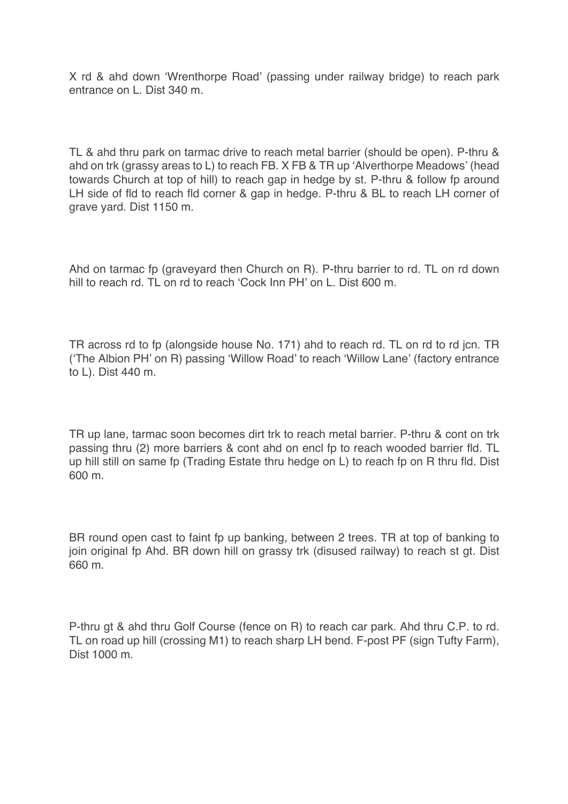X rd & ahd down 'Wrenthorpe Road' (passing under railway bridge) to reach park entrance on L. Dist 340 m.

TL & ahd thru park on tarmac drive to reach metal barrier (should be open). P-thru & ahd on trk (grassy areas to L) to reach FB. X FB & TR up 'Alverthorpe Meadows' (head towards Church at top of hill) to reach gap in hedge by st. P-thru & follow fp around LH side of fld to reach fld corner & gap in hedge. P-thru & BL to reach LH corner of grave yard. Dist 1150 m.

Ahd on tarmac fp (graveyard then Church on R). P-thru barrier to rd. TL on rd down hill to reach rd. TL on rd to reach 'Cock Inn PH' on L. Dist 600 m.

TR across rd to fp (alongside house No. 171) ahd to reach rd. TL on rd to rd jcn. TR ('The Albion PH' on R) passing 'Willow Road' to reach 'Willow Lane' (factory entrance to L). Dist 440 m.

TR up lane, tarmac soon becomes dirt trk to reach metal barrier. P-thru & cont on trk passing thru (2) more barriers & cont ahd on encl fp to reach wooded barrier fld. TL up hill still on same fp (Trading Estate thru hedge on L) to reach fp on R thru fld. Dist 600 m.

BR round open cast to faint fp up banking, between 2 trees. TR at top of banking to join original fp Ahd. BR down hill on grassy trk (disused railway) to reach st gt. Dist 660 m.

P-thru gt & ahd thru Golf Course (fence on R) to reach car park. Ahd thru C.P. to rd. TL on road up hill (crossing M1) to reach sharp LH bend. F-post PF (sign Tufty Farm), Dist 1000 m.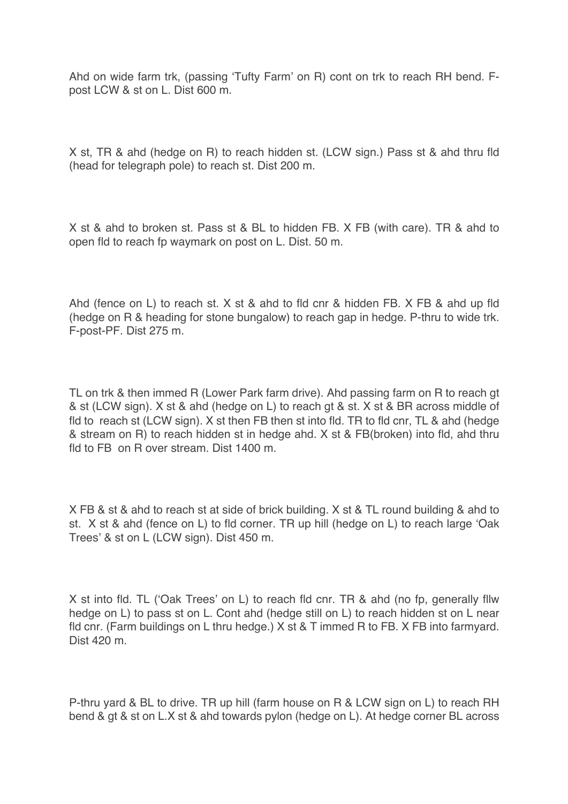Ahd on wide farm trk, (passing 'Tufty Farm' on R) cont on trk to reach RH bend. Fpost LCW & st on L. Dist 600 m.

X st, TR & ahd (hedge on R) to reach hidden st. (LCW sign.) Pass st & ahd thru fld (head for telegraph pole) to reach st. Dist 200 m.

X st & ahd to broken st. Pass st & BL to hidden FB. X FB (with care). TR & ahd to open fld to reach fp waymark on post on L. Dist. 50 m.

Ahd (fence on L) to reach st. X st & ahd to fld cnr & hidden FB. X FB & ahd up fld (hedge on R & heading for stone bungalow) to reach gap in hedge. P-thru to wide trk. F-post-PF. Dist 275 m.

TL on trk & then immed R (Lower Park farm drive). Ahd passing farm on R to reach gt & st (LCW sign). X st & ahd (hedge on L) to reach gt & st. X st & BR across middle of fld to reach st (LCW sign). X st then FB then st into fld. TR to fld cnr, TL & ahd (hedge & stream on R) to reach hidden st in hedge ahd. X st & FB(broken) into fld, ahd thru fld to FB on R over stream. Dist 1400 m.

X FB & st & ahd to reach st at side of brick building. X st & TL round building & ahd to st. X st & ahd (fence on L) to fld corner. TR up hill (hedge on L) to reach large 'Oak Trees' & st on L (LCW sign). Dist 450 m.

X st into fld. TL ('Oak Trees' on L) to reach fld cnr. TR & ahd (no fp, generally fllw hedge on L) to pass st on L. Cont ahd (hedge still on L) to reach hidden st on L near fld cnr. (Farm buildings on L thru hedge.) X st & T immed R to FB. X FB into farmyard. Dist 420 m.

P-thru yard & BL to drive. TR up hill (farm house on R & LCW sign on L) to reach RH bend & gt & st on L.X st & ahd towards pylon (hedge on L). At hedge corner BL across